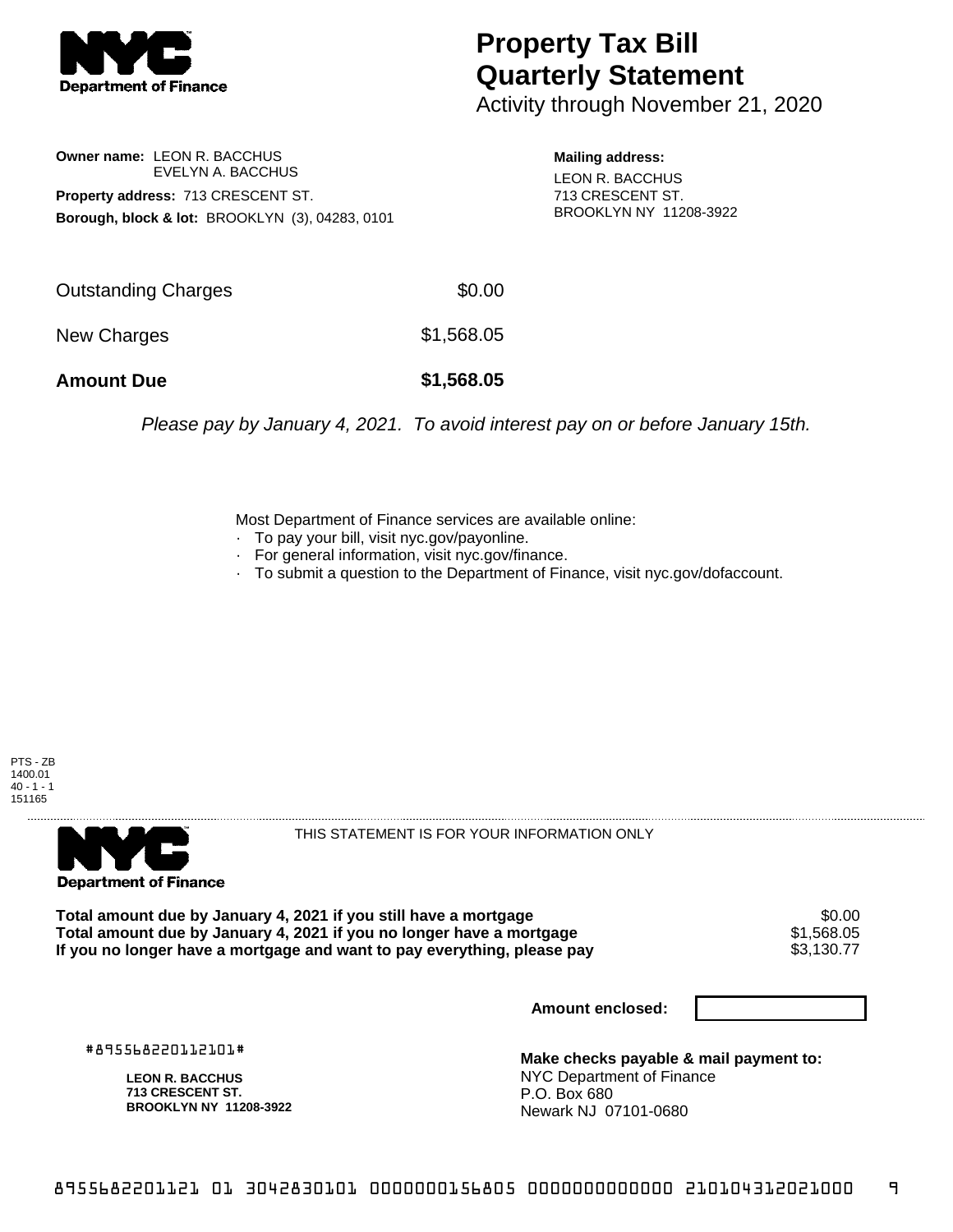

## **Property Tax Bill Quarterly Statement**

Activity through November 21, 2020

**Owner name:** LEON R. BACCHUS EVELYN A. BACCHUS **Property address:** 713 CRESCENT ST. **Borough, block & lot:** BROOKLYN (3), 04283, 0101

**Mailing address:** LEON R. BACCHUS 713 CRESCENT ST. BROOKLYN NY 11208-3922

| <b>Amount Due</b>   | \$1,568.05 |
|---------------------|------------|
| New Charges         | \$1,568.05 |
| Outstanding Charges | \$0.00     |

Please pay by January 4, 2021. To avoid interest pay on or before January 15th.

Most Department of Finance services are available online:

- · To pay your bill, visit nyc.gov/payonline.
- For general information, visit nyc.gov/finance.
- · To submit a question to the Department of Finance, visit nyc.gov/dofaccount.





THIS STATEMENT IS FOR YOUR INFORMATION ONLY

Total amount due by January 4, 2021 if you still have a mortgage  $$0.00$ <br>Total amount due by January 4, 2021 if you no longer have a mortgage  $$1,568.05$ **Total amount due by January 4, 2021 if you no longer have a mortgage**  $$1,568.05$ **<br>If you no longer have a mortgage and want to pay everything, please pay**  $$3,130.77$ If you no longer have a mortgage and want to pay everything, please pay

**Amount enclosed:**

#895568220112101#

**LEON R. BACCHUS 713 CRESCENT ST. BROOKLYN NY 11208-3922**

**Make checks payable & mail payment to:** NYC Department of Finance P.O. Box 680 Newark NJ 07101-0680